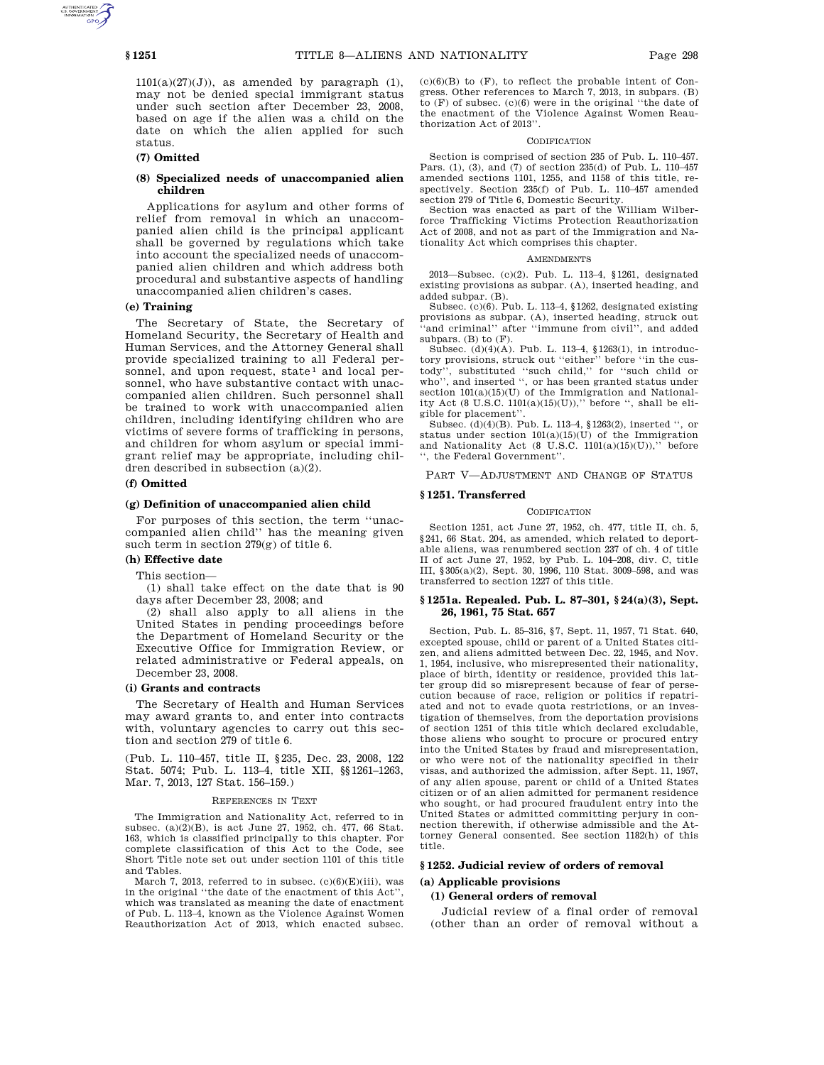$1101(a)(27)(J)$ , as amended by paragraph  $(1)$ , may not be denied special immigrant status under such section after December 23, 2008, based on age if the alien was a child on the date on which the alien applied for such status.

## **(7) Omitted**

## **(8) Specialized needs of unaccompanied alien children**

Applications for asylum and other forms of relief from removal in which an unaccompanied alien child is the principal applicant shall be governed by regulations which take into account the specialized needs of unaccompanied alien children and which address both procedural and substantive aspects of handling unaccompanied alien children's cases.

#### **(e) Training**

The Secretary of State, the Secretary of Homeland Security, the Secretary of Health and Human Services, and the Attorney General shall provide specialized training to all Federal personnel, and upon request, state<sup>1</sup> and local personnel, who have substantive contact with unaccompanied alien children. Such personnel shall be trained to work with unaccompanied alien children, including identifying children who are victims of severe forms of trafficking in persons, and children for whom asylum or special immigrant relief may be appropriate, including children described in subsection (a)(2).

#### **(f) Omitted**

#### **(g) Definition of unaccompanied alien child**

For purposes of this section, the term ''unaccompanied alien child'' has the meaning given such term in section 279(g) of title 6.

## **(h) Effective date**

This section—

(1) shall take effect on the date that is 90 days after December 23, 2008; and

(2) shall also apply to all aliens in the United States in pending proceedings before the Department of Homeland Security or the Executive Office for Immigration Review, or related administrative or Federal appeals, on December 23, 2008.

#### **(i) Grants and contracts**

The Secretary of Health and Human Services may award grants to, and enter into contracts with, voluntary agencies to carry out this section and section 279 of title 6.

(Pub. L. 110–457, title II, §235, Dec. 23, 2008, 122 Stat. 5074; Pub. L. 113–4, title XII, §§1261–1263, Mar. 7, 2013, 127 Stat. 156–159.)

#### REFERENCES IN TEXT

The Immigration and Nationality Act, referred to in subsec. (a) $(2)(B)$ , is act June 27, 1952, ch. 477, 66 Stat. 163, which is classified principally to this chapter. For complete classification of this Act to the Code, see Short Title note set out under section 1101 of this title and Tables.

March 7, 2013, referred to in subsec.  $(c)(6)(E)(iii)$ , was in the original "the date of the enactment of this Act". which was translated as meaning the date of enactment of Pub. L. 113–4, known as the Violence Against Women Reauthorization Act of 2013, which enacted subsec.

 $(c)(6)(B)$  to  $(F)$ , to reflect the probable intent of Congress. Other references to March 7, 2013, in subpars. (B) to (F) of subsec. (c)(6) were in the original ''the date of the enactment of the Violence Against Women Reauthorization Act of 2013''.

#### CODIFICATION

Section is comprised of section 235 of Pub. L. 110–457. Pars. (1), (3), and (7) of section 235(d) of Pub. L. 110–457 amended sections 1101, 1255, and 1158 of this title, respectively. Section 235(f) of Pub. L. 110–457 amended section 279 of Title 6, Domestic Security.

Section was enacted as part of the William Wilberforce Trafficking Victims Protection Reauthorization Act of 2008, and not as part of the Immigration and Nationality Act which comprises this chapter.

#### **AMENDMENTS**

2013—Subsec. (c)(2). Pub. L. 113–4, §1261, designated existing provisions as subpar. (A), inserted heading, and added subpar. (B).

Subsec. (c)(6). Pub. L. 113–4, §1262, designated existing provisions as subpar. (A), inserted heading, struck out "and criminal" after "immune from civil", and added subpars.  $(B)$  to  $(F)$ .

Subsec. (d)(4)(A). Pub. L. 113–4, §1263(1), in introductory provisions, struck out ''either'' before ''in the custody'', substituted ''such child,'' for ''such child or who'', and inserted '', or has been granted status under section  $101(a)(15)(U)$  of the Immigration and Nationality Act  $(8 \text{ U.S.C. } 1101(a)(15)(U)),$  before ", shall be eligible for placement''.

Subsec. (d)(4)(B). Pub. L. 113–4, §1263(2), inserted '', or status under section 101(a)(15)(U) of the Immigration and Nationality Act (8 U.S.C.  $1101(a)(15)(U)$ )," before '', the Federal Government''.

PART V—ADJUSTMENT AND CHANGE OF STATUS

#### **§ 1251. Transferred**

## CODIFICATION

Section 1251, act June 27, 1952, ch. 477, title II, ch. 5, §241, 66 Stat. 204, as amended, which related to deportable aliens, was renumbered section 237 of ch. 4 of title II of act June 27, 1952, by Pub. L. 104–208, div. C, title III, §305(a)(2), Sept. 30, 1996, 110 Stat. 3009–598, and was transferred to section 1227 of this title.

## **§ 1251a. Repealed. Pub. L. 87–301, § 24(a)(3), Sept. 26, 1961, 75 Stat. 657**

Section, Pub. L. 85–316, §7, Sept. 11, 1957, 71 Stat. 640, excepted spouse, child or parent of a United States citizen, and aliens admitted between Dec. 22, 1945, and Nov. 1, 1954, inclusive, who misrepresented their nationality, place of birth, identity or residence, provided this latter group did so misrepresent because of fear of persecution because of race, religion or politics if repatriated and not to evade quota restrictions, or an investigation of themselves, from the deportation provisions of section 1251 of this title which declared excludable, those aliens who sought to procure or procured entry into the United States by fraud and misrepresentation, or who were not of the nationality specified in their visas, and authorized the admission, after Sept. 11, 1957, of any alien spouse, parent or child of a United States citizen or of an alien admitted for permanent residence who sought, or had procured fraudulent entry into the United States or admitted committing perjury in connection therewith, if otherwise admissible and the Attorney General consented. See section 1182(h) of this title.

# **§ 1252. Judicial review of orders of removal**

#### **(a) Applicable provisions**

## **(1) General orders of removal**

Judicial review of a final order of removal (other than an order of removal without a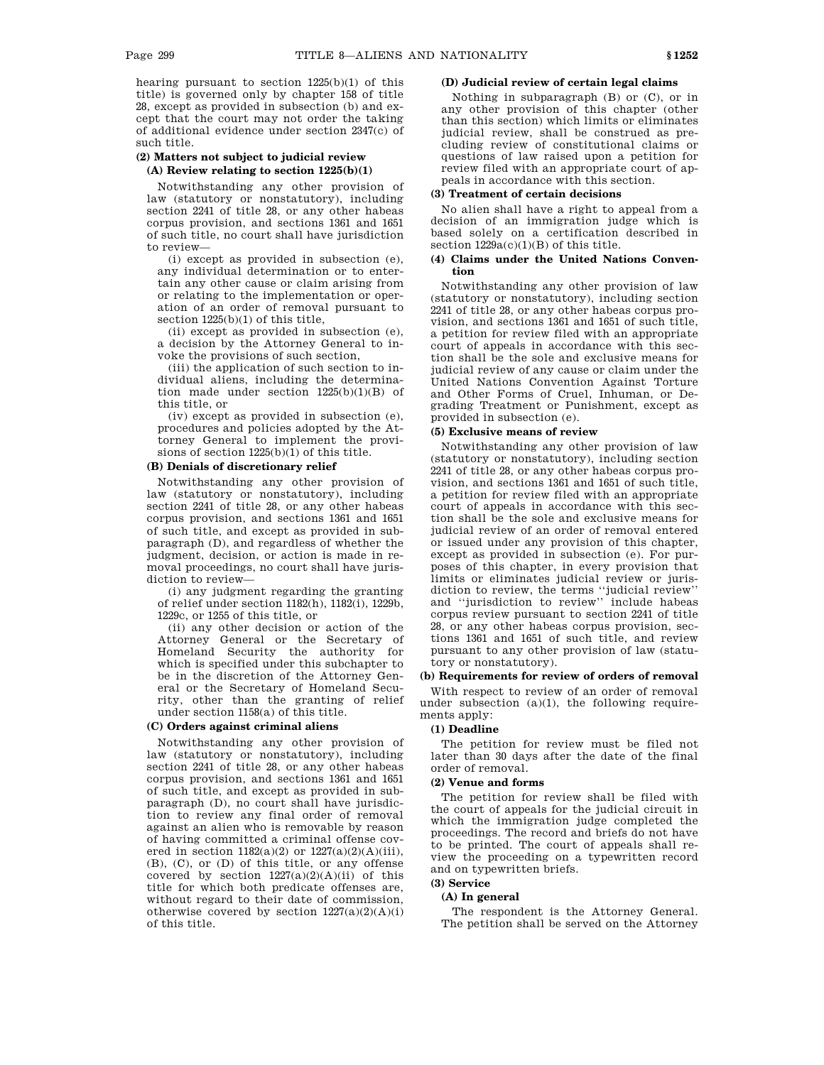hearing pursuant to section  $1225(b)(1)$  of this title) is governed only by chapter 158 of title 28, except as provided in subsection (b) and except that the court may not order the taking of additional evidence under section 2347(c) of such title.

# **(2) Matters not subject to judicial review (A) Review relating to section 1225(b)(1)**

Notwithstanding any other provision of law (statutory or nonstatutory), including section 2241 of title 28, or any other habeas corpus provision, and sections 1361 and 1651 of such title, no court shall have jurisdiction to review—

(i) except as provided in subsection (e), any individual determination or to entertain any other cause or claim arising from or relating to the implementation or operation of an order of removal pursuant to section 1225(b)(1) of this title,

(ii) except as provided in subsection (e), a decision by the Attorney General to invoke the provisions of such section,

(iii) the application of such section to individual aliens, including the determination made under section  $1225(b)(1)(B)$  of this title, or

(iv) except as provided in subsection (e), procedures and policies adopted by the Attorney General to implement the provisions of section  $1225(b)(1)$  of this title.

# **(B) Denials of discretionary relief**

Notwithstanding any other provision of law (statutory or nonstatutory), including section 2241 of title 28, or any other habeas corpus provision, and sections 1361 and 1651 of such title, and except as provided in subparagraph (D), and regardless of whether the judgment, decision, or action is made in removal proceedings, no court shall have jurisdiction to review—

(i) any judgment regarding the granting of relief under section 1182(h), 1182(i), 1229b, 1229c, or 1255 of this title, or

(ii) any other decision or action of the Attorney General or the Secretary of Homeland Security the authority for which is specified under this subchapter to be in the discretion of the Attorney General or the Secretary of Homeland Security, other than the granting of relief under section 1158(a) of this title.

## **(C) Orders against criminal aliens**

Notwithstanding any other provision of law (statutory or nonstatutory), including section 2241 of title 28, or any other habeas corpus provision, and sections 1361 and 1651 of such title, and except as provided in subparagraph (D), no court shall have jurisdiction to review any final order of removal against an alien who is removable by reason of having committed a criminal offense covered in section  $1182(a)(2)$  or  $1227(a)(2)(A)(iii)$ , (B), (C), or (D) of this title, or any offense covered by section  $1227(a)(2)(A)(ii)$  of this title for which both predicate offenses are, without regard to their date of commission, otherwise covered by section  $1227(a)(2)(A)(i)$ of this title.

## **(D) Judicial review of certain legal claims**

Nothing in subparagraph (B) or (C), or in any other provision of this chapter (other than this section) which limits or eliminates judicial review, shall be construed as precluding review of constitutional claims or questions of law raised upon a petition for review filed with an appropriate court of appeals in accordance with this section.

## **(3) Treatment of certain decisions**

No alien shall have a right to appeal from a decision of an immigration judge which is based solely on a certification described in section  $1229a(c)(1)(B)$  of this title.

## **(4) Claims under the United Nations Convention**

Notwithstanding any other provision of law (statutory or nonstatutory), including section 2241 of title 28, or any other habeas corpus provision, and sections 1361 and 1651 of such title, a petition for review filed with an appropriate court of appeals in accordance with this section shall be the sole and exclusive means for judicial review of any cause or claim under the United Nations Convention Against Torture and Other Forms of Cruel, Inhuman, or Degrading Treatment or Punishment, except as provided in subsection (e).

#### **(5) Exclusive means of review**

Notwithstanding any other provision of law (statutory or nonstatutory), including section 2241 of title 28, or any other habeas corpus provision, and sections 1361 and 1651 of such title, a petition for review filed with an appropriate court of appeals in accordance with this section shall be the sole and exclusive means for judicial review of an order of removal entered or issued under any provision of this chapter, except as provided in subsection (e). For purposes of this chapter, in every provision that limits or eliminates judicial review or jurisdiction to review, the terms ''judicial review'' and ''jurisdiction to review'' include habeas corpus review pursuant to section 2241 of title 28, or any other habeas corpus provision, sections 1361 and 1651 of such title, and review pursuant to any other provision of law (statutory or nonstatutory).

#### **(b) Requirements for review of orders of removal**

With respect to review of an order of removal under subsection  $(a)(1)$ , the following requirements apply:

# **(1) Deadline**

The petition for review must be filed not later than 30 days after the date of the final order of removal.

## **(2) Venue and forms**

The petition for review shall be filed with the court of appeals for the judicial circuit in which the immigration judge completed the proceedings. The record and briefs do not have to be printed. The court of appeals shall review the proceeding on a typewritten record and on typewritten briefs.

# **(3) Service**

## **(A) In general**

The respondent is the Attorney General. The petition shall be served on the Attorney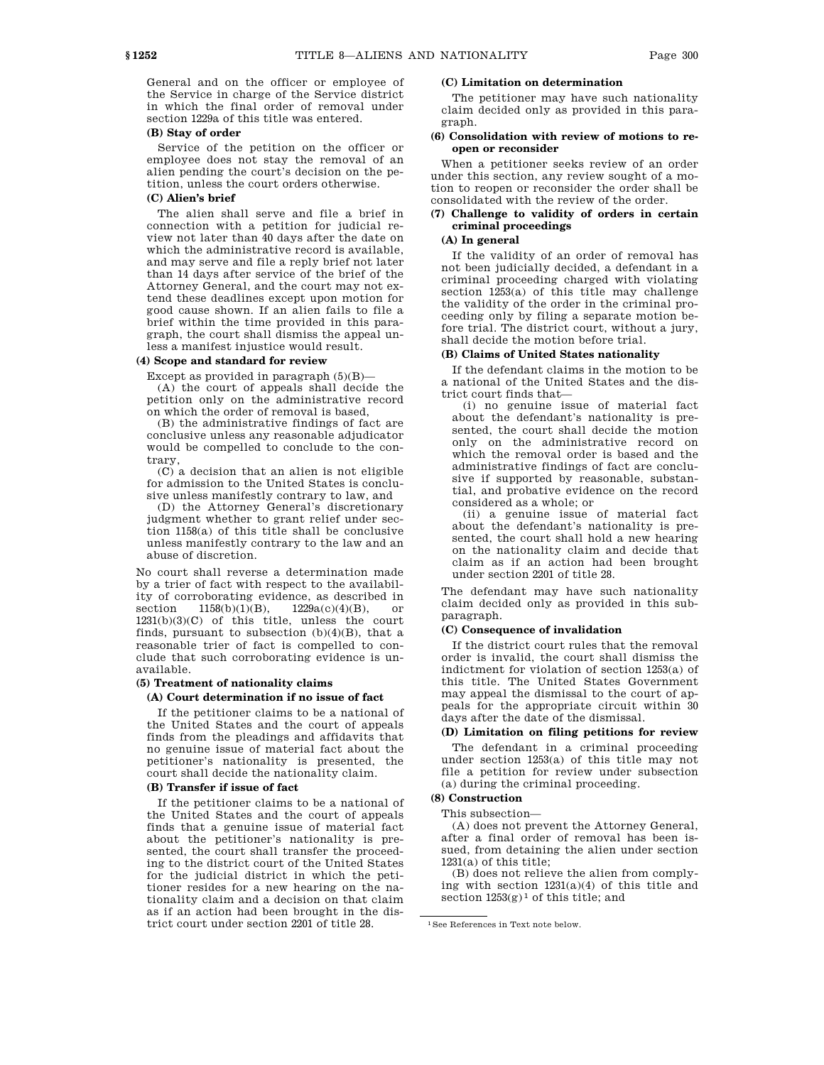General and on the officer or employee of the Service in charge of the Service district in which the final order of removal under section 1229a of this title was entered.

# **(B) Stay of order**

Service of the petition on the officer or employee does not stay the removal of an alien pending the court's decision on the petition, unless the court orders otherwise.

# **(C) Alien's brief**

The alien shall serve and file a brief in connection with a petition for judicial review not later than 40 days after the date on which the administrative record is available, and may serve and file a reply brief not later than 14 days after service of the brief of the Attorney General, and the court may not extend these deadlines except upon motion for good cause shown. If an alien fails to file a brief within the time provided in this paragraph, the court shall dismiss the appeal unless a manifest injustice would result.

## **(4) Scope and standard for review**

Except as provided in paragraph  $(5)(B)$ -

(A) the court of appeals shall decide the petition only on the administrative record on which the order of removal is based,

(B) the administrative findings of fact are conclusive unless any reasonable adjudicator would be compelled to conclude to the contrary,

(C) a decision that an alien is not eligible for admission to the United States is conclusive unless manifestly contrary to law, and

(D) the Attorney General's discretionary judgment whether to grant relief under section 1158(a) of this title shall be conclusive unless manifestly contrary to the law and an abuse of discretion.

No court shall reverse a determination made by a trier of fact with respect to the availability of corroborating evidence, as described in section  $1158(b)(1)(B)$ ,  $1229a(c)(4)(B)$ , or 1231(b)(3)(C) of this title, unless the court finds, pursuant to subsection (b)(4)(B), that a reasonable trier of fact is compelled to conclude that such corroborating evidence is unavailable.

#### **(5) Treatment of nationality claims**

## **(A) Court determination if no issue of fact**

If the petitioner claims to be a national of the United States and the court of appeals finds from the pleadings and affidavits that no genuine issue of material fact about the petitioner's nationality is presented, the court shall decide the nationality claim.

## **(B) Transfer if issue of fact**

If the petitioner claims to be a national of the United States and the court of appeals finds that a genuine issue of material fact about the petitioner's nationality is presented, the court shall transfer the proceeding to the district court of the United States for the judicial district in which the petitioner resides for a new hearing on the nationality claim and a decision on that claim as if an action had been brought in the district court under section 2201 of title 28.

# **(C) Limitation on determination**

The petitioner may have such nationality claim decided only as provided in this paragraph.

## **(6) Consolidation with review of motions to reopen or reconsider**

When a petitioner seeks review of an order under this section, any review sought of a motion to reopen or reconsider the order shall be consolidated with the review of the order.

# **(7) Challenge to validity of orders in certain criminal proceedings**

## **(A) In general**

If the validity of an order of removal has not been judicially decided, a defendant in a criminal proceeding charged with violating section 1253(a) of this title may challenge the validity of the order in the criminal proceeding only by filing a separate motion before trial. The district court, without a jury, shall decide the motion before trial.

## **(B) Claims of United States nationality**

If the defendant claims in the motion to be a national of the United States and the district court finds that—

(i) no genuine issue of material fact about the defendant's nationality is presented, the court shall decide the motion only on the administrative record on which the removal order is based and the administrative findings of fact are conclusive if supported by reasonable, substantial, and probative evidence on the record considered as a whole; or

(ii) a genuine issue of material fact about the defendant's nationality is presented, the court shall hold a new hearing on the nationality claim and decide that claim as if an action had been brought under section 2201 of title 28.

The defendant may have such nationality claim decided only as provided in this subparagraph.

## **(C) Consequence of invalidation**

If the district court rules that the removal order is invalid, the court shall dismiss the indictment for violation of section 1253(a) of this title. The United States Government may appeal the dismissal to the court of appeals for the appropriate circuit within 30 days after the date of the dismissal.

# **(D) Limitation on filing petitions for review**

The defendant in a criminal proceeding under section 1253(a) of this title may not file a petition for review under subsection (a) during the criminal proceeding.

## **(8) Construction**

## This subsection—

(A) does not prevent the Attorney General, after a final order of removal has been issued, from detaining the alien under section 1231(a) of this title;

(B) does not relieve the alien from complying with section 1231(a)(4) of this title and section  $1253(g)^1$  of this title; and

<sup>1</sup>See References in Text note below.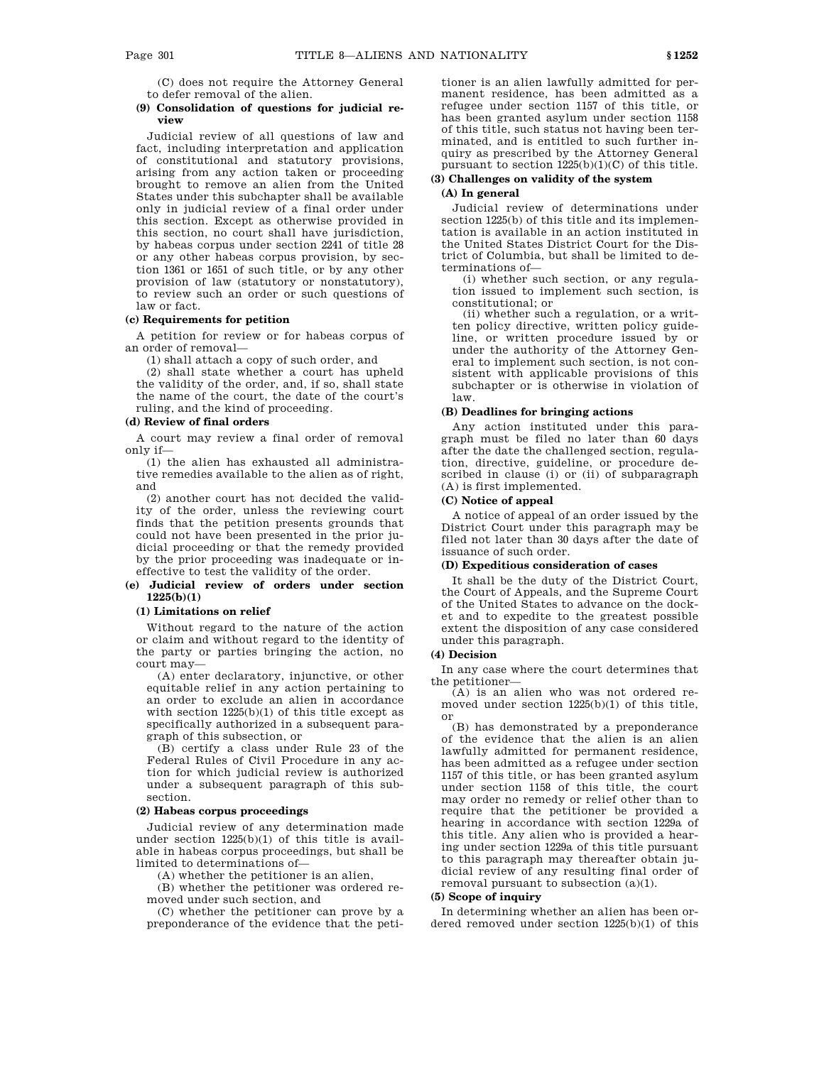(C) does not require the Attorney General to defer removal of the alien.

## **(9) Consolidation of questions for judicial review**

Judicial review of all questions of law and fact, including interpretation and application of constitutional and statutory provisions, arising from any action taken or proceeding brought to remove an alien from the United States under this subchapter shall be available only in judicial review of a final order under this section. Except as otherwise provided in this section, no court shall have jurisdiction, by habeas corpus under section 2241 of title 28 or any other habeas corpus provision, by section 1361 or 1651 of such title, or by any other provision of law (statutory or nonstatutory), to review such an order or such questions of law or fact.

# **(c) Requirements for petition**

A petition for review or for habeas corpus of an order of removal—

(1) shall attach a copy of such order, and

(2) shall state whether a court has upheld the validity of the order, and, if so, shall state the name of the court, the date of the court's ruling, and the kind of proceeding.

## **(d) Review of final orders**

A court may review a final order of removal only if—

(1) the alien has exhausted all administrative remedies available to the alien as of right, and

(2) another court has not decided the validity of the order, unless the reviewing court finds that the petition presents grounds that could not have been presented in the prior judicial proceeding or that the remedy provided by the prior proceeding was inadequate or ineffective to test the validity of the order.

## **(e) Judicial review of orders under section 1225(b)(1)**

# **(1) Limitations on relief**

Without regard to the nature of the action or claim and without regard to the identity of the party or parties bringing the action, no court may—

(A) enter declaratory, injunctive, or other equitable relief in any action pertaining to an order to exclude an alien in accordance with section  $1225(b)(1)$  of this title except as specifically authorized in a subsequent paragraph of this subsection, or

(B) certify a class under Rule 23 of the Federal Rules of Civil Procedure in any action for which judicial review is authorized under a subsequent paragraph of this subsection.

## **(2) Habeas corpus proceedings**

Judicial review of any determination made under section 1225(b)(1) of this title is available in habeas corpus proceedings, but shall be limited to determinations of—

(A) whether the petitioner is an alien,

(B) whether the petitioner was ordered removed under such section, and

(C) whether the petitioner can prove by a preponderance of the evidence that the petitioner is an alien lawfully admitted for permanent residence, has been admitted as a refugee under section 1157 of this title, or has been granted asylum under section 1158 of this title, such status not having been terminated, and is entitled to such further inquiry as prescribed by the Attorney General pursuant to section  $1225(b)(1)(C)$  of this title.

## **(3) Challenges on validity of the system (A) In general**

Judicial review of determinations under section 1225(b) of this title and its implementation is available in an action instituted in the United States District Court for the District of Columbia, but shall be limited to determinations of—

(i) whether such section, or any regulation issued to implement such section, is constitutional; or

(ii) whether such a regulation, or a written policy directive, written policy guideline, or written procedure issued by or under the authority of the Attorney General to implement such section, is not consistent with applicable provisions of this subchapter or is otherwise in violation of law.

# **(B) Deadlines for bringing actions**

Any action instituted under this paragraph must be filed no later than 60 days after the date the challenged section, regulation, directive, guideline, or procedure described in clause (i) or (ii) of subparagraph (A) is first implemented.

## **(C) Notice of appeal**

A notice of appeal of an order issued by the District Court under this paragraph may be filed not later than 30 days after the date of issuance of such order.

# **(D) Expeditious consideration of cases**

It shall be the duty of the District Court, the Court of Appeals, and the Supreme Court of the United States to advance on the docket and to expedite to the greatest possible extent the disposition of any case considered under this paragraph.

# **(4) Decision**

In any case where the court determines that the petitioner—

(A) is an alien who was not ordered removed under section 1225(b)(1) of this title, or

(B) has demonstrated by a preponderance of the evidence that the alien is an alien lawfully admitted for permanent residence, has been admitted as a refugee under section 1157 of this title, or has been granted asylum under section 1158 of this title, the court may order no remedy or relief other than to require that the petitioner be provided a hearing in accordance with section 1229a of this title. Any alien who is provided a hearing under section 1229a of this title pursuant to this paragraph may thereafter obtain judicial review of any resulting final order of removal pursuant to subsection (a)(1).

## **(5) Scope of inquiry**

In determining whether an alien has been ordered removed under section 1225(b)(1) of this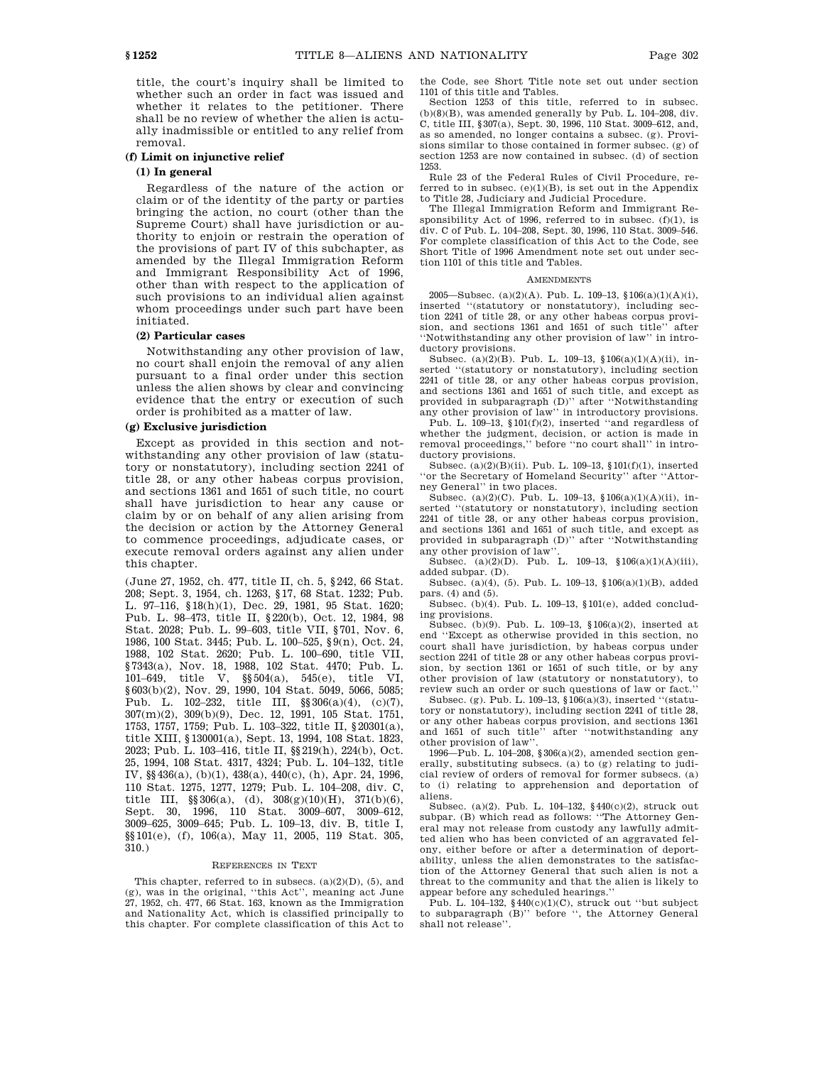title, the court's inquiry shall be limited to whether such an order in fact was issued and whether it relates to the petitioner. There shall be no review of whether the alien is actually inadmissible or entitled to any relief from removal.

## **(f) Limit on injunctive relief**

# **(1) In general**

Regardless of the nature of the action or claim or of the identity of the party or parties bringing the action, no court (other than the Supreme Court) shall have jurisdiction or authority to enjoin or restrain the operation of the provisions of part IV of this subchapter, as amended by the Illegal Immigration Reform and Immigrant Responsibility Act of 1996, other than with respect to the application of such provisions to an individual alien against whom proceedings under such part have been initiated.

## **(2) Particular cases**

Notwithstanding any other provision of law, no court shall enjoin the removal of any alien pursuant to a final order under this section unless the alien shows by clear and convincing evidence that the entry or execution of such order is prohibited as a matter of law.

# **(g) Exclusive jurisdiction**

Except as provided in this section and notwithstanding any other provision of law (statutory or nonstatutory), including section 2241 of title 28, or any other habeas corpus provision, and sections 1361 and 1651 of such title, no court shall have jurisdiction to hear any cause or claim by or on behalf of any alien arising from the decision or action by the Attorney General to commence proceedings, adjudicate cases, or execute removal orders against any alien under this chapter.

(June 27, 1952, ch. 477, title II, ch. 5, §242, 66 Stat. 208; Sept. 3, 1954, ch. 1263, §17, 68 Stat. 1232; Pub. L. 97–116, §18(h)(1), Dec. 29, 1981, 95 Stat. 1620; Pub. L. 98–473, title II, §220(b), Oct. 12, 1984, 98 Stat. 2028; Pub. L. 99–603, title VII, §701, Nov. 6, 1986, 100 Stat. 3445; Pub. L. 100–525, §9(n), Oct. 24, 1988, 102 Stat. 2620; Pub. L. 100–690, title VII, §7343(a), Nov. 18, 1988, 102 Stat. 4470; Pub. L. 101–649, title V, §§504(a), 545(e), title VI, §603(b)(2), Nov. 29, 1990, 104 Stat. 5049, 5066, 5085; Pub. L. 102–232, title III, §§306(a)(4), (c)(7), 307(m)(2), 309(b)(9), Dec. 12, 1991, 105 Stat. 1751, 1753, 1757, 1759; Pub. L. 103–322, title II, §20301(a), title XIII, §130001(a), Sept. 13, 1994, 108 Stat. 1823, 2023; Pub. L. 103–416, title II, §§219(h), 224(b), Oct. 25, 1994, 108 Stat. 4317, 4324; Pub. L. 104–132, title IV, §§436(a), (b)(1), 438(a), 440(c), (h), Apr. 24, 1996, 110 Stat. 1275, 1277, 1279; Pub. L. 104–208, div. C, title III,  $\S 306(a)$ , (d),  $308(g)(10)(H)$ ,  $371(b)(6)$ , Sept. 30, 1996, 110 Stat. 3009–607, 3009–612, 3009–625, 3009–645; Pub. L. 109–13, div. B, title I, §§101(e), (f), 106(a), May 11, 2005, 119 Stat. 305, 310.)

#### REFERENCES IN TEXT

This chapter, referred to in subsecs. (a)(2)(D), (5), and (g), was in the original, ''this Act'', meaning act June 27, 1952, ch. 477, 66 Stat. 163, known as the Immigration and Nationality Act, which is classified principally to this chapter. For complete classification of this Act to

the Code, see Short Title note set out under section 1101 of this title and Tables.

Section 1253 of this title, referred to in subsec.  $(b)(8)(B)$ , was amended generally by Pub. L. 104–208, div. C, title III, §307(a), Sept. 30, 1996, 110 Stat. 3009–612, and, as so amended, no longer contains a subsec. (g). Provisions similar to those contained in former subsec. (g) of section 1253 are now contained in subsec. (d) of section 1253.

Rule 23 of the Federal Rules of Civil Procedure, referred to in subsec.  $(e)(1)(B)$ , is set out in the Appendix to Title 28, Judiciary and Judicial Procedure.

The Illegal Immigration Reform and Immigrant Responsibility Act of 1996, referred to in subsec.  $(f)(1)$ , is div. C of Pub. L. 104–208, Sept. 30, 1996, 110 Stat. 3009–546. For complete classification of this Act to the Code, see Short Title of 1996 Amendment note set out under section 1101 of this title and Tables.

#### **AMENDMENTS**

2005—Subsec. (a)(2)(A). Pub. L. 109–13, §106(a)(1)(A)(i), inserted ''(statutory or nonstatutory), including section 2241 of title 28, or any other habeas corpus provision, and sections 1361 and 1651 of such title'' after ''Notwithstanding any other provision of law'' in introductory provisions.

Subsec. (a)(2)(B). Pub. L. 109-13,  $$106(a)(1)(A)(ii)$ , inserted ''(statutory or nonstatutory), including section 2241 of title 28, or any other habeas corpus provision, and sections 1361 and 1651 of such title, and except as provided in subparagraph (D)'' after ''Notwithstanding any other provision of law'' in introductory provisions. Pub. L. 109–13, §101(f)(2), inserted ''and regardless of whether the judgment, decision, or action is made in removal proceedings,'' before ''no court shall'' in introductory provisions.

Subsec. (a)(2)(B)(ii). Pub. L. 109–13, §101(f)(1), inserted "or the Secretary of Homeland Security" after "Attorney General'' in two places.

Subsec. (a)(2)(C). Pub. L. 109–13,  $$106(a)(1)(A)(ii)$ , inserted ''(statutory or nonstatutory), including section 2241 of title 28, or any other habeas corpus provision, and sections 1361 and 1651 of such title, and except as provided in subparagraph (D)'' after ''Notwithstanding any other provision of law'

Subsec. (a)(2)(D). Pub. L. 109–13, §106(a)(1)(A)(iii), added subpar. (D).

Subsec. (a)(4), (5). Pub. L. 109–13, §106(a)(1)(B), added pars. (4) and (5).

Subsec. (b)(4). Pub. L. 109–13, §101(e), added concluding provisions.

Subsec. (b)(9). Pub. L. 109–13, §106(a)(2), inserted at end ''Except as otherwise provided in this section, no court shall have jurisdiction, by habeas corpus under section 2241 of title 28 or any other habeas corpus provision, by section 1361 or 1651 of such title, or by any other provision of law (statutory or nonstatutory), to review such an order or such questions of law or fact.''

Subsec. (g). Pub. L. 109–13, §106(a)(3), inserted ''(statutory or nonstatutory), including section 2241 of title 28, or any other habeas corpus provision, and sections 1361 and 1651 of such title'' after "notwithstanding any after "notwithstanding any other provision of law''.

1996—Pub. L. 104–208, §306(a)(2), amended section generally, substituting subsecs. (a) to (g) relating to judicial review of orders of removal for former subsecs. (a) to (i) relating to apprehension and deportation of aliens.

Subsec. (a)(2). Pub. L. 104–132, §440(c)(2), struck out subpar. (B) which read as follows: ''The Attorney General may not release from custody any lawfully admitted alien who has been convicted of an aggravated felony, either before or after a determination of deportability, unless the alien demonstrates to the satisfaction of the Attorney General that such alien is not a threat to the community and that the alien is likely to appear before any scheduled hearings.''

Pub. L. 104–132, §440(c)(1)(C), struck out ''but subject to subparagraph (B)'' before '', the Attorney General shall not release''.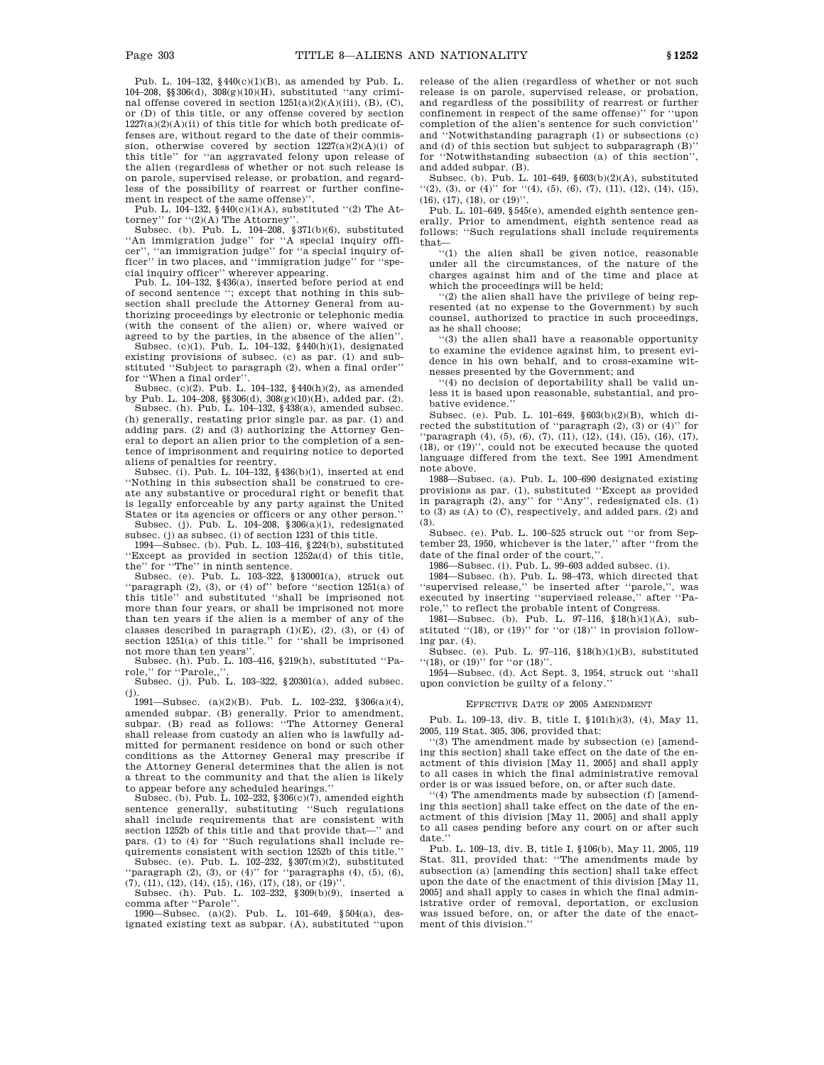Pub. L. 104–132, §440(c)(1)(B), as amended by Pub. L. 104–208, §§306(d), 308(g)(10)(H), substituted ''any criminal offense covered in section 1251(a)(2)(A)(iii), (B), (C), or (D) of this title, or any offense covered by section  $1227(a)(2)(A)(ii)$  of this title for which both predicate offenses are, without regard to the date of their commission, otherwise covered by section  $1227(a)(2)(A)(i)$  of this title'' for ''an aggravated felony upon release of the alien (regardless of whether or not such release is on parole, supervised release, or probation, and regardless of the possibility of rearrest or further confinement in respect of the same offense).

Pub. L.  $104-132$ , §440(c)(1)(A), substituted "(2) The Attorney'' for ''(2)(A) The Attorney''.

Subsec. (b). Pub. L. 104–208, §371(b)(6), substituted ''An immigration judge'' for ''A special inquiry officer'', ''an immigration judge'' for ''a special inquiry of-ficer'' in two places, and ''immigration judge'' for ''special inquiry officer'' wherever appearing.

Pub. L. 104–132, §436(a), inserted before period at end of second sentence ''; except that nothing in this subsection shall preclude the Attorney General from authorizing proceedings by electronic or telephonic media (with the consent of the alien) or, where waived or

agreed to by the parties, in the absence of the alien''.<br>Subsec. (c)(1). Pub. L. 104–132,  $\{440(h)(1),$  designated existing provisions of subsec. (c) as par. (1) and substituted ''Subject to paragraph (2), when a final order'' for ''When a final order''.

Subsec. (c)(2). Pub. L. 104–132, §440(h)(2), as amended by Pub. L. 104–208, §§306(d), 308(g)(10)(H), added par. (2). Subsec. (h). Pub. L. 104–132, §438(a), amended subsec.

(h) generally, restating prior single par. as par. (1) and adding pars. (2) and (3) authorizing the Attorney General to deport an alien prior to the completion of a sentence of imprisonment and requiring notice to deported

aliens of penalties for reentry. Subsec. (i). Pub. L. 104–132, §436(b)(1), inserted at end ''Nothing in this subsection shall be construed to create any substantive or procedural right or benefit that is legally enforceable by any party against the United States or its agencies or officers or any other person.''

Subsec. (j). Pub. L. 104-208,  $\S 306(a)(1)$ , redesignated subsec. (j) as subsec. (i) of section 1231 of this title.

1994—Subsec. (b). Pub. L. 103–416, §224(b), substituted ''Except as provided in section 1252a(d) of this title, the'' for ''The'' in ninth sentence.

Subsec. (e). Pub. L. 103–322, §130001(a), struck out "paragraph  $(2)$ ,  $(3)$ , or  $(4)$  of" before "section  $1251(a)$  of this title'' and substituted ''shall be imprisoned not more than four years, or shall be imprisoned not more than ten years if the alien is a member of any of the classes described in paragraph  $(1)(E)$ ,  $(2)$ ,  $(3)$ , or  $(4)$  of section 1251(a) of this title.'' for ''shall be imprisoned not more than ten years''.

Subsec. (h). Pub. L. 103–416, §219(h), substituted ''Pa-

role,'' for ''Parole,,''. Subsec. (j). Pub. L. 103–322, §20301(a), added subsec. (j).

1991—Subsec. (a)(2)(B). Pub. L. 102–232,  $\$ 306(a)(4), amended subpar. (B) generally. Prior to amendment, subpar. (B) read as follows: ''The Attorney General shall release from custody an alien who is lawfully admitted for permanent residence on bond or such other conditions as the Attorney General may prescribe if the Attorney General determines that the alien is not a threat to the community and that the alien is likely to appear before any scheduled hearings.''

Subsec. (b). Pub. L. 102–232, §306(c)(7), amended eighth sentence generally, substituting ''Such regulations shall include requirements that are consistent with section 1252b of this title and that provide that—'' and pars. (1) to (4) for ''Such regulations shall include requirements consistent with section 1252b of this title.''

Subsec. (e). Pub. L. 102–232, §307(m)(2), substituted "paragraph  $(2)$ ,  $(3)$ , or  $(4)$ " for "paragraphs  $(4)$ ,  $(5)$ ,  $(6)$ ,  $(7), (11), (12), (14), (15), (16), (17), (18),$  or  $(19)$ ".

Subsec. (h). Pub. L. 102–232, §309(b)(9), inserted a comma after ''Parole''.

1990—Subsec. (a)(2). Pub. L. 101–649, §504(a), designated existing text as subpar. (A), substituted ''upon release of the alien (regardless of whether or not such release is on parole, supervised release, or probation, and regardless of the possibility of rearrest or further confinement in respect of the same offense)'' for ''upon completion of the alien's sentence for such conviction'' and ''Notwithstanding paragraph (1) or subsections (c) and (d) of this section but subject to subparagraph  $(B)$ <sup>"</sup> for ''Notwithstanding subsection (a) of this section'', and added subpar. (B).

Subsec. (b). Pub. L. 101–649,  $\S 603(b)(2)(A)$ , substituted  $\lq(2)$ , (3), or (4)" for  $\lq(4)$ , (5), (6), (7), (11), (12), (14), (15),  $(16)$ ,  $(17)$ ,  $(18)$ , or  $(19)$ ".

Pub. L. 101–649, §545(e), amended eighth sentence generally. Prior to amendment, eighth sentence read as follows: ''Such regulations shall include requirements that—

''(1) the alien shall be given notice, reasonable under all the circumstances, of the nature of the charges against him and of the time and place at which the proceedings will be held;

''(2) the alien shall have the privilege of being represented (at no expense to the Government) by such counsel, authorized to practice in such proceedings, as he shall choose;

''(3) the alien shall have a reasonable opportunity to examine the evidence against him, to present evidence in his own behalf, and to cross-examine witnesses presented by the Government; and

''(4) no decision of deportability shall be valid unless it is based upon reasonable, substantial, and probative evidence.

Subsec. (e). Pub. L. 101–649, §603(b)(2)(B), which directed the substitution of ''paragraph (2), (3) or (4)'' for 'paragraph (4), (5), (6), (7), (11), (12), (14), (15), (16), (17), (18), or (19)'', could not be executed because the quoted language differed from the text. See 1991 Amendment note above.

1988—Subsec. (a). Pub. L. 100–690 designated existing provisions as par. (1), substituted ''Except as provided in paragraph (2), any'' for ''Any'', redesignated cls. (1) to (3) as (A) to (C), respectively, and added pars. (2) and (3).

Subsec. (e). Pub. L. 100–525 struck out ''or from September 23, 1950, whichever is the later,'' after ''from the date of the final order of the court.'

1986—Subsec. (i). Pub. L. 99–603 added subsec. (i).

1984—Subsec. (h). Pub. L. 98–473, which directed that ''supervised release,'' be inserted after ''parole,'', was executed by inserting ''supervised release,'' after ''Parole,'' to reflect the probable intent of Congress.

1981—Subsec. (b). Pub. L. 97–116, §18(h)(1)(A), substituted "(18), or (19)" for "or (18)" in provision following par. (4).

Subsec. (e). Pub. L. 97–116, §18(h)(1)(B), substituted "(18), or (19)" for "or (18)".

1954—Subsec. (d). Act Sept. 3, 1954, struck out ''shall upon conviction be guilty of a felony.''

#### EFFECTIVE DATE OF 2005 AMENDMENT

Pub. L. 109–13, div. B, title I, §101(h)(3), (4), May 11, 2005, 119 Stat. 305, 306, provided that:

''(3) The amendment made by subsection (e) [amending this section] shall take effect on the date of the enactment of this division [May 11, 2005] and shall apply to all cases in which the final administrative removal order is or was issued before, on, or after such date.

''(4) The amendments made by subsection (f) [amending this section] shall take effect on the date of the enactment of this division [May 11, 2005] and shall apply to all cases pending before any court on or after such date.

Pub. L. 109–13, div. B, title I, §106(b), May 11, 2005, 119 Stat. 311, provided that: ''The amendments made by subsection (a) [amending this section] shall take effect upon the date of the enactment of this division [May 11, 2005] and shall apply to cases in which the final administrative order of removal, deportation, or exclusion was issued before, on, or after the date of the enactment of this division.''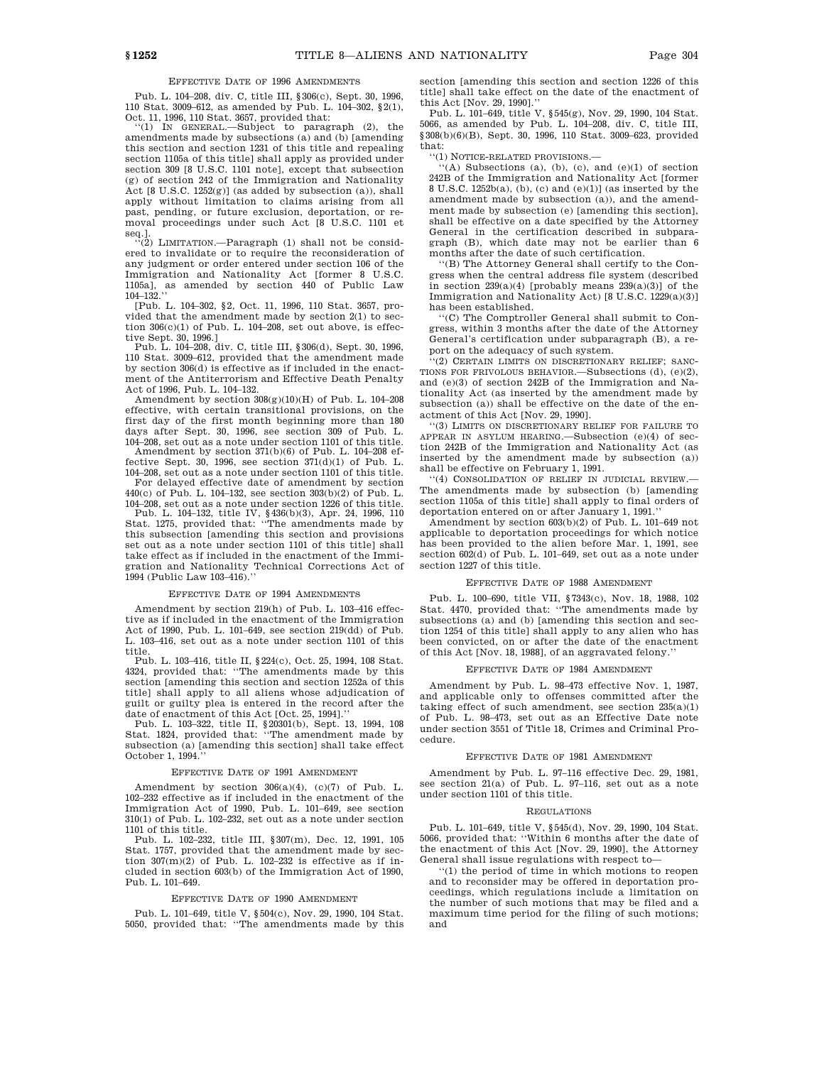## EFFECTIVE DATE OF 1996 AMENDMENTS

Pub. L. 104–208, div. C, title III, §306(c), Sept. 30, 1996, 110 Stat. 3009–612, as amended by Pub. L. 104–302, §2(1), Oct. 11, 1996, 110 Stat. 3657, provided that: ''(1) IN GENERAL.—Subject to paragraph (2), the

amendments made by subsections (a) and (b) [amending this section and section 1231 of this title and repealing section 1105a of this title] shall apply as provided under section 309 [8 U.S.C. 1101 note], except that subsection (g) of section 242 of the Immigration and Nationality Act [8 U.S.C. 1252(g)] (as added by subsection (a)), shall apply without limitation to claims arising from all past, pending, or future exclusion, deportation, or removal proceedings under such Act [8 U.S.C. 1101 et seq.].<br>"(2) LIMITATION.—Paragraph (1) shall not be consid-

ered to invalidate or to require the reconsideration of any judgment or order entered under section 106 of the Immigration and Nationality Act [former 8 U.S.C. 1105a], as amended by section 440 of Public Law 104–132.''

[Pub. L. 104–302, §2, Oct. 11, 1996, 110 Stat. 3657, provided that the amendment made by section 2(1) to section  $306(c)(1)$  of Pub. L. 104-208, set out above, is effective Sept. 30, 1996.]

Pub. L. 104–208, div. C, title III, §306(d), Sept. 30, 1996, 110 Stat. 3009–612, provided that the amendment made by section 306(d) is effective as if included in the enactment of the Antiterrorism and Effective Death Penalty Act of 1996, Pub. L. 104–132.

Amendment by section  $308(g)(10)(H)$  of Pub. L. 104–208 effective, with certain transitional provisions, on the first day of the first month beginning more than 180 days after Sept. 30, 1996, see section 309 of Pub. L. 104–208, set out as a note under section 1101 of this title.

Amendment by section 371(b)(6) of Pub. L. 104–208 effective Sept. 30, 1996, see section  $371(d)(1)$  of Pub. L. 104–208, set out as a note under section 1101 of this title.

For delayed effective date of amendment by section 440(c) of Pub. L. 104–132, see section 303(b)(2) of Pub. L. 104–208, set out as a note under section 1226 of this title.

Pub. L. 104–132, title IV, §436(b)(3), Apr. 24, 1996, 110 Stat. 1275, provided that: ''The amendments made by this subsection [amending this section and provisions set out as a note under section 1101 of this title] shall take effect as if included in the enactment of the Immigration and Nationality Technical Corrections Act of 1994 (Public Law 103–416).''

## EFFECTIVE DATE OF 1994 AMENDMENTS

Amendment by section 219(h) of Pub. L. 103–416 effective as if included in the enactment of the Immigration Act of 1990, Pub. L. 101–649, see section 219(dd) of Pub. L. 103–416, set out as a note under section 1101 of this title.

Pub. L. 103–416, title II, §224(c), Oct. 25, 1994, 108 Stat. 4324, provided that: ''The amendments made by this section [amending this section and section 1252a of this title] shall apply to all aliens whose adjudication of guilt or guilty plea is entered in the record after the date of enactment of this Act [Oct. 25, 1994].''

Pub. L. 103–322, title II, §20301(b), Sept. 13, 1994, 108 Stat. 1824, provided that: ''The amendment made by subsection (a) [amending this section] shall take effect October 1, 1994.''

#### EFFECTIVE DATE OF 1991 AMENDMENT

Amendment by section  $306(a)(4)$ , (c)(7) of Pub. L. 102–232 effective as if included in the enactment of the Immigration Act of 1990, Pub. L. 101–649, see section 310(1) of Pub. L. 102–232, set out as a note under section 1101 of this title.

Pub. L. 102–232, title III, §307(m), Dec. 12, 1991, 105 Stat. 1757, provided that the amendment made by section  $307(m)(2)$  of Pub. L.  $102-232$  is effective as if included in section 603(b) of the Immigration Act of 1990, Pub. L. 101–649.

#### EFFECTIVE DATE OF 1990 AMENDMENT

Pub. L. 101–649, title V, §504(c), Nov. 29, 1990, 104 Stat. 5050, provided that: ''The amendments made by this section [amending this section and section 1226 of this title] shall take effect on the date of the enactment of this Act [Nov. 29, 1990].''

Pub. L. 101–649, title V, §545(g), Nov. 29, 1990, 104 Stat. 5066, as amended by Pub. L. 104–208, div. C, title III, §308(b)(6)(B), Sept. 30, 1996, 110 Stat. 3009–623, provided that:

''(1) NOTICE-RELATED PROVISIONS.—

 $((A)$  Subsections (a), (b), (c), and (e)(1) of section 242B of the Immigration and Nationality Act [former 8 U.S.C. 1252b(a), (b), (c) and (e)(1)] (as inserted by the amendment made by subsection (a)), and the amendment made by subsection (e) [amending this section], shall be effective on a date specified by the Attorney General in the certification described in subparagraph (B), which date may not be earlier than 6 months after the date of such certification.

''(B) The Attorney General shall certify to the Congress when the central address file system (described in section 239(a)(4) [probably means  $239(a)(3)$ ] of the Immigration and Nationality Act) [8 U.S.C. 1229(a)(3)] has been established.

''(C) The Comptroller General shall submit to Congress, within 3 months after the date of the Attorney General's certification under subparagraph (B), a report on the adequacy of such system.

''(2) CERTAIN LIMITS ON DISCRETIONARY RELIEF; SANC-TIONS FOR FRIVOLOUS BEHAVIOR.—Subsections (d), (e)(2), and (e)(3) of section 242B of the Immigration and Nationality Act (as inserted by the amendment made by subsection (a)) shall be effective on the date of the enactment of this Act [Nov. 29, 1990].

''(3) LIMITS ON DISCRETIONARY RELIEF FOR FAILURE TO APPEAR IN ASYLUM HEARING.—Subsection (e)(4) of section 242B of the Immigration and Nationality Act (as inserted by the amendment made by subsection (a)) shall be effective on February 1, 1991.

''(4) CONSOLIDATION OF RELIEF IN JUDICIAL REVIEW.— The amendments made by subsection (b) [amending section 1105a of this title] shall apply to final orders of deportation entered on or after January 1, 1991.''

Amendment by section 603(b)(2) of Pub. L. 101–649 not applicable to deportation proceedings for which notice has been provided to the alien before Mar. 1, 1991, see section  $602(d)$  of Pub. L. 101–649, set out as a note under section 1227 of this title.

## EFFECTIVE DATE OF 1988 AMENDMENT

Pub. L. 100–690, title VII, §7343(c), Nov. 18, 1988, 102 Stat. 4470, provided that: ''The amendments made by subsections (a) and (b) [amending this section and section 1254 of this title] shall apply to any alien who has been convicted, on or after the date of the enactment of this Act [Nov. 18, 1988], of an aggravated felony.''

#### EFFECTIVE DATE OF 1984 AMENDMENT

Amendment by Pub. L. 98–473 effective Nov. 1, 1987, and applicable only to offenses committed after the taking effect of such amendment, see section  $235(a)(1)$ of Pub. L. 98–473, set out as an Effective Date note under section 3551 of Title 18, Crimes and Criminal Procedure.

#### EFFECTIVE DATE OF 1981 AMENDMENT

Amendment by Pub. L. 97–116 effective Dec. 29, 1981, see section 21(a) of Pub. L. 97–116, set out as a note under section 1101 of this title.

#### REGULATIONS

Pub. L. 101–649, title V, §545(d), Nov. 29, 1990, 104 Stat. 5066, provided that: ''Within 6 months after the date of the enactment of this Act [Nov. 29, 1990], the Attorney General shall issue regulations with respect to—

''(1) the period of time in which motions to reopen and to reconsider may be offered in deportation proceedings, which regulations include a limitation on the number of such motions that may be filed and a maximum time period for the filing of such motions; and